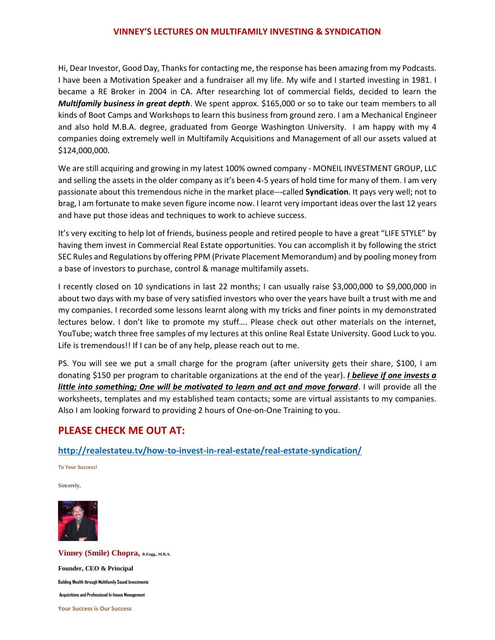#### **VINNEY'S LECTURES ON MULTIFAMILY INVESTING & SYNDICATION**

Hi, Dear Investor, Good Day, Thanks for contacting me, the response has been amazing from my Podcasts. I have been a Motivation Speaker and a fundraiser all my life. My wife and I started investing in 1981. I became a RE Broker in 2004 in CA. After researching lot of commercial fields, decided to learn the *Multifamily business in great depth*. We spent approx. \$165,000 or so to take our team members to all kinds of Boot Camps and Workshops to learn this business from ground zero. I am a Mechanical Engineer and also hold M.B.A. degree, graduated from George Washington University. I am happy with my 4 companies doing extremely well in Multifamily Acquisitions and Management of all our assets valued at \$124,000,000.

We are still acquiring and growing in my latest 100% owned company - MONEIL INVESTMENT GROUP, LLC and selling the assets in the older company as it's been 4-5 years of hold time for many of them. I am very passionate about this tremendous niche in the market place---called **Syndication**. It pays very well; not to brag, I am fortunate to make seven figure income now. I learnt very important ideas over the last 12 years and have put those ideas and techniques to work to achieve success.

It's very exciting to help lot of friends, business people and retired people to have a great "LIFE STYLE" by having them invest in Commercial Real Estate opportunities. You can accomplish it by following the strict SEC Rules and Regulations by offering PPM (Private Placement Memorandum) and by pooling money from a base of investors to purchase, control & manage multifamily assets.

I recently closed on 10 syndications in last 22 months; I can usually raise \$3,000,000 to \$9,000,000 in about two days with my base of very satisfied investors who over the years have built a trust with me and my companies. I recorded some lessons learnt along with my tricks and finer points in my demonstrated lectures below. I don't like to promote my stuff…. Please check out other materials on the internet, YouTube; watch three free samples of my lectures at this online Real Estate University. Good Luck to you. Life is tremendous!! If I can be of any help, please reach out to me.

PS. You will see we put a small charge for the program (after university gets their share, \$100, I am donating \$150 per program to charitable organizations at the end of the year). *I believe if one invests a little into something; One will be motivated to learn and act and move forward*. I will provide all the worksheets, templates and my established team contacts; some are virtual assistants to my companies. Also I am looking forward to providing 2 hours of One-on-One Training to you.

# **PLEASE CHECK ME OUT AT:**

#### **<http://realestateu.tv/how-to-invest-in-real-estate/real-estate-syndication/>**

**To Your Success!**

Sincerely,



**Vinney (Smile) Chopra, B.Engg., M.B.A. Founder, CEO & Principal Building Wealth through Multifamily Sound Investments Acquisitions and Professional In-house Management Your Success is Our Success**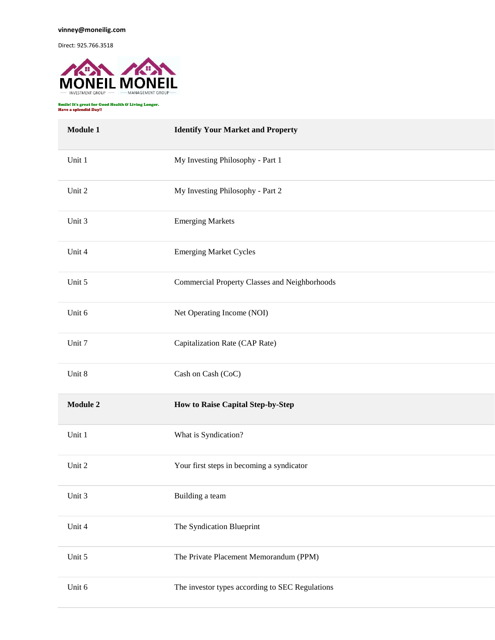Direct: 925.766.3518



Smile! It's great for Good Health & Living Longer. Have a splendid Day!!

| Module 1 | <b>Identify Your Market and Property</b>        |
|----------|-------------------------------------------------|
| Unit 1   | My Investing Philosophy - Part 1                |
| Unit 2   | My Investing Philosophy - Part 2                |
| Unit 3   | <b>Emerging Markets</b>                         |
| Unit 4   | <b>Emerging Market Cycles</b>                   |
| Unit 5   | Commercial Property Classes and Neighborhoods   |
| Unit 6   | Net Operating Income (NOI)                      |
| Unit 7   | Capitalization Rate (CAP Rate)                  |
| Unit 8   | Cash on Cash (CoC)                              |
| Module 2 | How to Raise Capital Step-by-Step               |
| Unit 1   | What is Syndication?                            |
| Unit 2   | Your first steps in becoming a syndicator       |
| Unit 3   | Building a team                                 |
| Unit 4   | The Syndication Blueprint                       |
| Unit 5   | The Private Placement Memorandum (PPM)          |
| Unit 6   | The investor types according to SEC Regulations |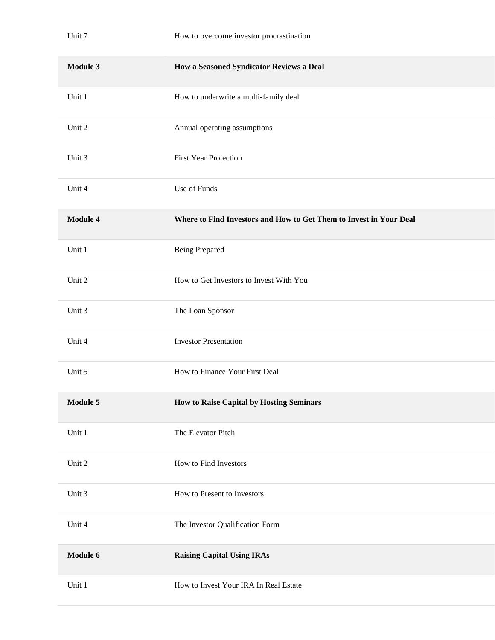| Module 3        | How a Seasoned Syndicator Reviews a Deal                           |
|-----------------|--------------------------------------------------------------------|
| Unit 1          | How to underwrite a multi-family deal                              |
| Unit 2          | Annual operating assumptions                                       |
| Unit 3          | First Year Projection                                              |
| Unit 4          | Use of Funds                                                       |
| <b>Module 4</b> | Where to Find Investors and How to Get Them to Invest in Your Deal |
| Unit 1          | <b>Being Prepared</b>                                              |
| Unit 2          | How to Get Investors to Invest With You                            |
| Unit 3          | The Loan Sponsor                                                   |
| Unit 4          | <b>Investor Presentation</b>                                       |
| Unit 5          | How to Finance Your First Deal                                     |
| Module 5        | How to Raise Capital by Hosting Seminars                           |
| Unit 1          | The Elevator Pitch                                                 |
| Unit 2          | How to Find Investors                                              |
| Unit 3          | How to Present to Investors                                        |
| Unit 4          | The Investor Qualification Form                                    |
| Module 6        | <b>Raising Capital Using IRAs</b>                                  |
| Unit 1          | How to Invest Your IRA In Real Estate                              |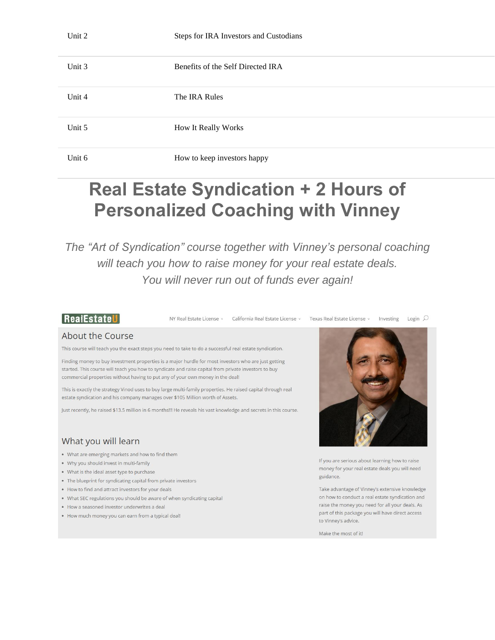| Unit 3 | Benefits of the Self Directed IRA |
|--------|-----------------------------------|
| Unit 4 | The IRA Rules                     |
| Unit 5 | How It Really Works               |
| Unit 6 | How to keep investors happy       |

# **Real Estate Syndication + 2 Hours of Personalized Coaching with Vinney**

The "Art of Syndication" course together with Vinney's personal coaching will teach you how to raise money for your real estate deals. You will never run out of funds ever again!

### RealEstateU

NY Real Estate License v California Real Estate License v Texas Real Estate License v Investing Login Q

#### About the Course

This course will teach you the exact steps you need to take to do a successful real estate syndication.

Finding money to buy investment properties is a major hurdle for most investors who are just getting started. This course will teach you how to syndicate and raise capital from private investors to buy commercial properties without having to put any of your own money in the deal!

This is exactly the strategy Vinod uses to buy large multi-family properties. He raised capital through real estate syndication and his company manages over \$105 Million worth of Assets.

Just recently, he raised \$13.5 million in 6 months!!! He reveals his vast knowledge and secrets in this course.

# What you will learn

- What are emerging markets and how to find them
- . Why you should invest in multi-family
- . What is the ideal asset type to purchase
- The blueprint for syndicating capital from private investors
- . How to find and attract investors for your deals
- . What SEC regulations you should be aware of when syndicating capital
- . How a seasoned investor underwrites a deal
- . How much money you can earn from a typical deal!



If you are serious about learning how to raise money for your real estate deals you will need guidance.

Take advantage of Vinney's extensive knowledge on how to conduct a real estate syndication and raise the money you need for all your deals. As part of this package you will have direct access to Vinney's advice.

Make the most of it!